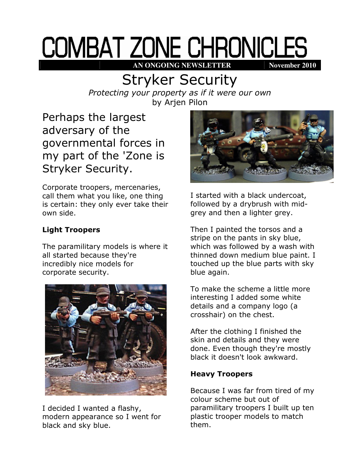# COMBAT ZONE CHRONICLES **AN ONGOING NEWSLETTER** November 2010

## Stryker Security

Protecting your property as if it were our own by Arjen Pilon

Perhaps the largest adversary of the governmental forces in my part of the 'Zone is Stryker Security.

Corporate troopers, mercenaries, call them what you like, one thing is certain: they only ever take their own side.

### Light Troopers

The paramilitary models is where it all started because they're incredibly nice models for corporate security.



I decided I wanted a flashy, modern appearance so I went for black and sky blue.



I started with a black undercoat, followed by a drybrush with midgrey and then a lighter grey.

Then I painted the torsos and a stripe on the pants in sky blue, which was followed by a wash with thinned down medium blue paint. I touched up the blue parts with sky blue again.

To make the scheme a little more interesting I added some white details and a company logo (a crosshair) on the chest.

After the clothing I finished the skin and details and they were done. Even though they're mostly black it doesn't look awkward.

#### Heavy Troopers

Because I was far from tired of my colour scheme but out of paramilitary troopers I built up ten plastic trooper models to match them.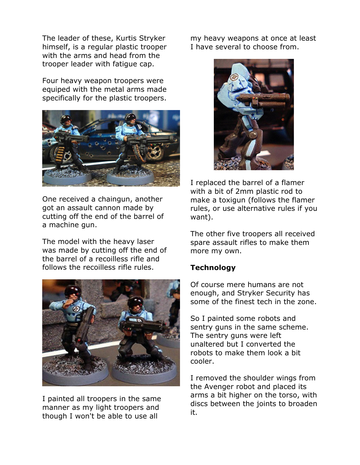The leader of these, Kurtis Stryker himself, is a regular plastic trooper with the arms and head from the trooper leader with fatigue cap.

Four heavy weapon troopers were equiped with the metal arms made specifically for the plastic troopers.



One received a chaingun, another got an assault cannon made by cutting off the end of the barrel of a machine gun.

The model with the heavy laser was made by cutting off the end of the barrel of a recoilless rifle and follows the recoilless rifle rules.



I painted all troopers in the same manner as my light troopers and though I won't be able to use all

my heavy weapons at once at least I have several to choose from.



I replaced the barrel of a flamer with a bit of 2mm plastic rod to make a toxigun (follows the flamer rules, or use alternative rules if you want).

The other five troopers all received spare assault rifles to make them more my own.

#### **Technology**

Of course mere humans are not enough, and Stryker Security has some of the finest tech in the zone.

So I painted some robots and sentry guns in the same scheme. The sentry guns were left unaltered but I converted the robots to make them look a bit cooler.

I removed the shoulder wings from the Avenger robot and placed its arms a bit higher on the torso, with discs between the joints to broaden it.